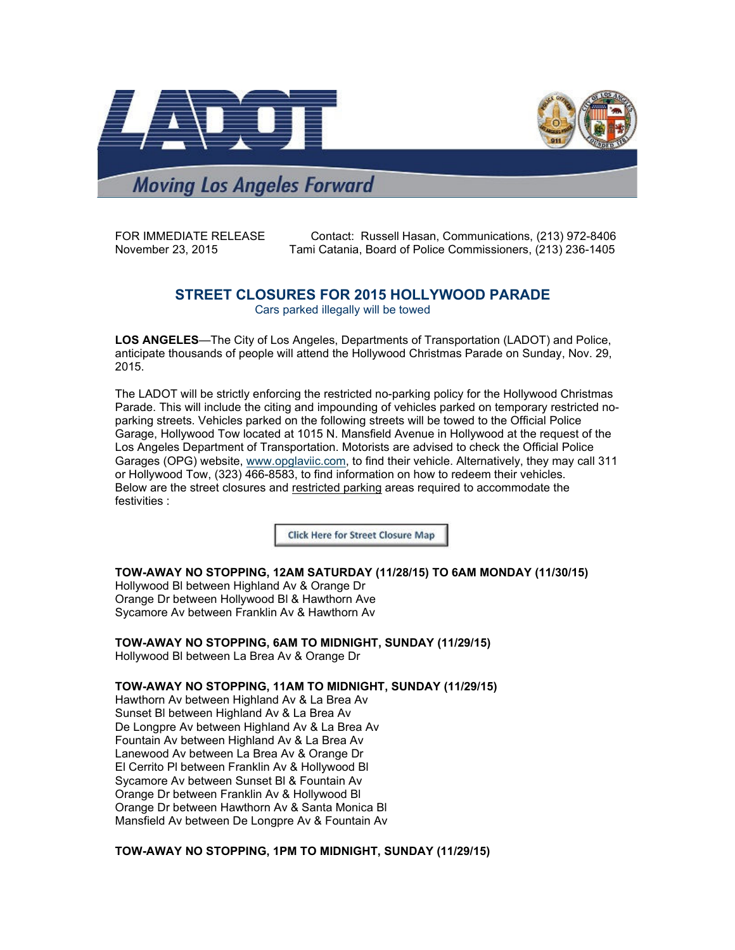



**Moving Los Angeles Forward** 

FOR IMMEDIATE RELEASE Contact: Russell Hasan, Communications, (213) 972-8406<br>November 23, 2015 Tami Catania, Board of Police Commissioners, (213) 236-1405 Tami Catania, Board of Police Commissioners, (213) 236-1405

## **STREET CLOSURES FOR 2015 HOLLYWOOD PARADE**

Cars parked illegally will be towed

**LOS ANGELES**—The City of Los Angeles, Departments of Transportation (LADOT) and Police, anticipate thousands of people will attend the Hollywood Christmas Parade on Sunday, Nov. 29, 2015.

The LADOT will be strictly enforcing the restricted no-parking policy for the Hollywood Christmas Parade. This will include the citing and impounding of vehicles parked on temporary restricted noparking streets. Vehicles parked on the following streets will be towed to the Official Police Garage, Hollywood Tow located at 1015 N. Mansfield Avenue in Hollywood at the request of the Los Angeles Department of Transportation. Motorists are advised to check the Official Police Garages (OPG) website, www.opglaviic.com, to find their vehicle. Alternatively, they may call 311 or Hollywood Tow, (323) 466-8583, to find information on how to redeem their vehicles. Below are the street closures and restricted parking areas required to accommodate the festivities :

**Click Here for Street Closure Map** 

**TOW-AWAY NO STOPPING, 12AM SATURDAY (11/28/15) TO 6AM MONDAY (11/30/15)** Hollywood Bl between Highland Av & Orange Dr Orange Dr between Hollywood Bl & Hawthorn Ave Sycamore Av between Franklin Av & Hawthorn Av

**TOW-AWAY NO STOPPING, 6AM TO MIDNIGHT, SUNDAY (11/29/15)**

Hollywood Bl between La Brea Av & Orange Dr

**TOW-AWAY NO STOPPING, 11AM TO MIDNIGHT, SUNDAY (11/29/15)**

Hawthorn Av between Highland Av & La Brea Av Sunset Bl between Highland Av & La Brea Av De Longpre Av between Highland Av & La Brea Av Fountain Av between Highland Av & La Brea Av Lanewood Av between La Brea Av & Orange Dr El Cerrito Pl between Franklin Av & Hollywood Bl Sycamore Av between Sunset Bl & Fountain Av Orange Dr between Franklin Av & Hollywood Bl Orange Dr between Hawthorn Av & Santa Monica Bl Mansfield Av between De Longpre Av & Fountain Av

**TOW-AWAY NO STOPPING, 1PM TO MIDNIGHT, SUNDAY (11/29/15)**